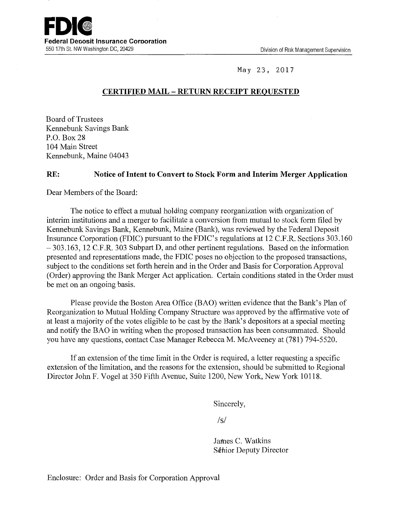

May 23, 2017

# **CERTIFIED MAIL - RETURN RECEIPT REQUESTED**

Board of Trustees Kennebunk Savings Bank P.O. Box28 104 Main Street Kennebunk, Maine 04043

#### **RE: Notice of Intent to Convert to Stock Form and Interim Merger Application**

Dear Members of the Board:

The notice to effect a mutual holding company reorganization with organization of interim institutions and a merger to facilitate a conversion from mutual to stock form filed by Kennebunk Savings Bank, Kennebunk, Maine (Bank), was reviewed by the Federal Deposit Insurance Corporation (FDIC) pursuant to the FDIC's regulations at 12 C.F.R. Sections 303.160 - 303.163, 12 C.F.R. 303 Subpart D, and other pertinent regulations. Based on the information presented and representations made, the FDIC poses no objection to the proposed transactions, subject to the conditions set forth herein and in the Order and Basis for Corporation Approval (Order) approving the Bank Merger Act application. Certain conditions stated in the Order must be met on an ongoing basis.

Please provide the Boston Area Office (BAO) written evidence that the Bank's Plan of Reorganization to Mutual Holding Company Structure was approved by the affirmative vote of at least a majority of the votes eligible to be cast by the Bank's depositors at a special meeting and notify the BAO in writing when the proposed transaction has been consummated. Should you have any questions, contact Case Manager Rebecca M. McAveeney at (781) 794-5520.

If an extension of the time limit in the Order is required, a letter requesting a specific extension of the limitation, and the reasons for the extension, should be submitted to Regional Director John F. Vogel at 350 Fifth Avenue, Suite 1200, New York, New York 10118.

Sincerely,

 $\sqrt{s}$ 

James C. Watkins Schior Deputy Director

Enclosure: Order and Basis for Corporation Approval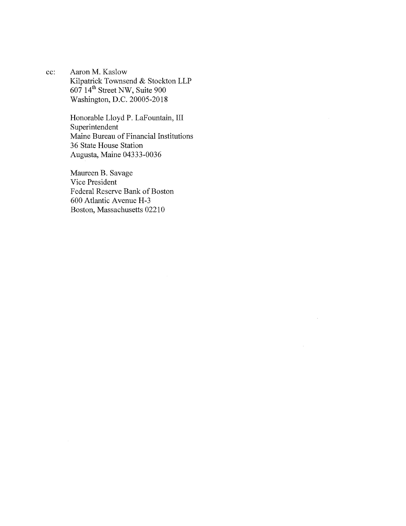cc: Aaron M. Kaslow Kilpatrick Townsend & Stockton LLP 607 14th Street NW, Suite 900 Washington, D.C. 20005-2018

> Honorable Lloyd P. Lafountain, III Superintendent Maine Bureau of Financial Institutions 36 State House Station Augusta, Maine 04333-0036

Maureen B. Savage Vice President Federal Reserve Bank of Boston 600 Atlantic A venue H-3 Boston, Massachusetts 02210

 $\mathcal{A}^{\mathcal{A}}$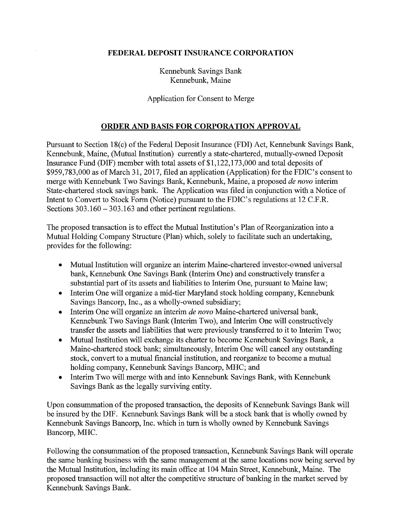### **FEDERAL DEPOSIT INSURANCE CORPORATION**

Kennebunk Savings Bank Kennebunk, Maine

### Application for Consent to Merge

## **ORDER AND BASIS FOR CORPORATION APPROVAL**

Pursuant to Section 18(c) of the Federal Deposit Insurance (FDI) Act, Kennebunk Savings Bank, Kennebunk, Maine, (Mutual Institution) currently a state-chartered, mutually-owned Deposit Insurance Fund (DIF) member with total assets of  $$1,122,173,000$  and total deposits of \$959,783,000 as of March 31, 2017, filed an application (Applicatiop.) for the FDIC's consent to merge with Kennebunk Two Savings Bank, Kennebunk, Maine, a proposed *de nova* interim State-chartered stock savings bank. The Application was filed in conjunction with a Notice of Intent to Convert to Stock Form (Notice) pursuant to the FDIC's regulations at 12 C.F.R. Sections  $303.160 - 303.163$  and other pertinent regulations.

The proposed transaction is to effect the Mutual Institution's Plan of Reorganization into a Mutual Holding Company Structure (Plan) which, solely to facilitate such an undertaking, provides for the following:

- Mutual Institution will organize an interim Maine-chartered investor-owned universal bank, Kennebunk One Savings Bank (Interim One) and constructively transfer a substantial part of its assets and liabilities to Interim One, pursuant to Maine law;
- Interim One will organize a mid-tier Maryland stock holding company, Kennebunk Savings Bancorp, Inc., as a wholly-owned subsidiary;
- Interim One will organize an interim *de nova* Maine-chartered universal bank, Kennebunk Two Savings Bank (Interim Two), and Interim One will constructively transfer the assets and liabilities that were previously transferred to it to Interim Two;
- Mutual Institution will exchange its charter to become Kennebunk Savings Bank, a Maine-chartered stock bank; simultaneously, Interim One will cancel any outstanding stock, convert to a mutual financial institution, and reorganize to become a mutual holding company, Kennebunk Savings Bancorp, MHC; and
- Interim Two will merge with and into Kennebunk Savings Bank, with Kennebunk Savings Bank as the legally surviving entity.

Upon consummation of the proposed transaction, the deposits of Kennebunk Savings Bank will be insured by the DIF. Kennebunk Savings Bank will be a stock bank that is wholly owned by Kennebunk Savings Bancorp, Inc. which in turn is wholly owned by Kennebunk Savings Bancorp, MHC.

Following the consummation of the proposed transaction, Kennebunk Savings Bank will operate the same banking business with the same management at the same locations now being served by the Mutual Institution, including its main office at 104 Main Street, Kennebunk, Maine. The proposed transaction will not alter the competitive structure of banking in the market served by Kennebunk Savings Bank.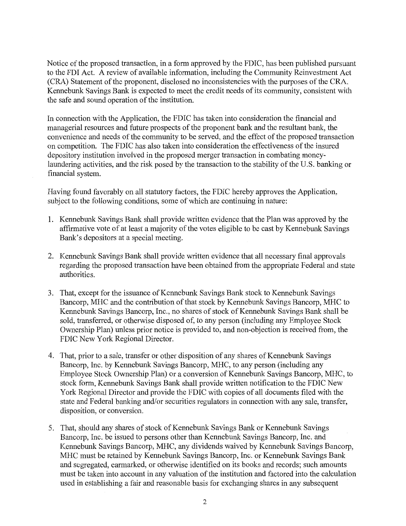Notice of the proposed transaction, in a form approved by the FDIC, has been published pursuant to the FDI Act. A review of available information, including the Community Reinvestment Act (CRA) Statement of the proponent, disclosed no inconsistencies with the purposes of the CRA. Kennebunk Savings Bank is expected to meet the credit needs of its community, consistent with the safe and sound operation of the institution.

In connection with the Application, the FDIC has taken into consideration the financial and managerial resources and future prospects of the proponent bank and the resultant bank, the convenience and needs of the community to be served, and the effect of the proposed transaction on competition. The FDIC has also taken into consideration the effectiveness of the insured depository institution involved in the proposed merger transaction in combating moneylaundering activities, and the risk posed by the transaction to the stability of the U.S. banking or financial system.

Having found favorably on all statutory factors, the FDIC hereby approves the Application, subject to the following conditions, some of which are continuing in nature:

- 1. Kennebunk Savings Bank shall provide written evidence that the Plan was approved by the affirmative vote of at least a majority of the votes eligible to be cast by Kennebunk Savings Bank's depositors at a special meeting.
- 2. Kennebunk Savings Bank shall provide written evidence that all necessary final approvals regarding the proposed transaction have been obtained from the appropriate Federal and state authorities.
- 3. That, except for the issuance of Kennebunk Savings Bank stock to Kennebunk Savings Bancorp, MHC and the contribution of that stock by Kennebunk Savings Bancorp, MHC to Kennebunk Savings Bancorp, Inc., no shares of stock of Kennebunk Savings Bank shall be sold, transferred, or otherwise disposed of, to any person (including any Employee Stock Ownership Plan) unless prior notice is provided to, and non-objection is received from, the FDIC New York Regional Director.
- 4. That, prior to a sale, transfer or other disposition of any shares of Kennebunk Savings Bancorp, Inc. by Kennebunk Savings Bancorp, MHC, to any person (including any Employee Stock Ownership Plan) or a conversion of Kennebunk Savings Bancorp, MHC, to stock form, Kennebunk Savings Bank shall provide written notification to the FDIC New York Regional Director and provide the FDIC with copies of all documents filed with the state and Federal banking and/or securities regulators in connection with any sale, transfer, disposition, or conversion.
- 5. That, should any shares of stock of Kennebunk Savings Bank or Kennebunk Savings Bancorp, Inc. be issued to persons other than Kennebunk Savings Bancorp, Inc. and Kennebunk Savings Bancorp, MHC, any dividends waived by Kennebunk Savings Bancorp, MHC must be retained by Kennebunk Savings Bancorp, Inc. or Kennebunk Savings Bank and segregated, earmarked, or otherwise identified on its books and records; such amounts must be taken into account in any valuation of the institution and factored into the calculation used in establishing a fair and reasonable basis for exchanging shares in any subsequent